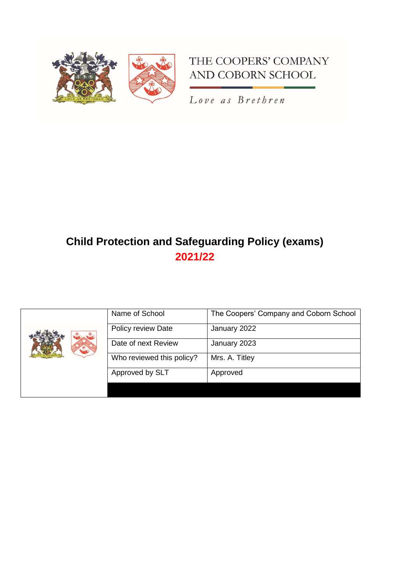

# THE COOPERS' COMPANY AND COBORN SCHOOL

Love as Brethren

# **Child Protection and Safeguarding Policy (exams) 2021/22**

|  | Name of School            | The Coopers' Company and Coborn School |
|--|---------------------------|----------------------------------------|
|  | Policy review Date        | January 2022                           |
|  | Date of next Review       | January 2023                           |
|  | Who reviewed this policy? | Mrs. A. Titley                         |
|  | Approved by SLT           | Approved                               |
|  |                           |                                        |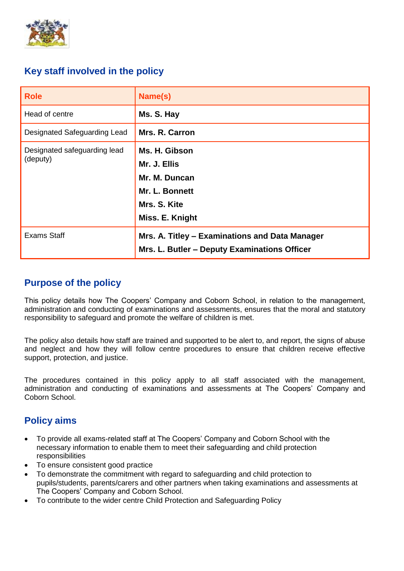

# **Key staff involved in the policy**

| <b>Role</b>                              | Name(s)                                                                                             |  |
|------------------------------------------|-----------------------------------------------------------------------------------------------------|--|
| Head of centre                           | Ms. S. Hay                                                                                          |  |
| Designated Safeguarding Lead             | Mrs. R. Carron                                                                                      |  |
| Designated safeguarding lead<br>(deputy) | Ms. H. Gibson<br>Mr. J. Ellis<br>Mr. M. Duncan<br>Mr. L. Bonnett<br>Mrs. S. Kite<br>Miss. E. Knight |  |
| <b>Exams Staff</b>                       | Mrs. A. Titley - Examinations and Data Manager<br>Mrs. L. Butler - Deputy Examinations Officer      |  |

# **Purpose of the policy**

This policy details how The Coopers' Company and Coborn School, in relation to the management, administration and conducting of examinations and assessments, ensures that the moral and statutory responsibility to safeguard and promote the welfare of children is met.

The policy also details how staff are trained and supported to be alert to, and report, the signs of abuse and neglect and how they will follow centre procedures to ensure that children receive effective support, protection, and justice.

The procedures contained in this policy apply to all staff associated with the management, administration and conducting of examinations and assessments at The Coopers' Company and Coborn School.

# **Policy aims**

- To provide all exams-related staff at The Coopers' Company and Coborn School with the necessary information to enable them to meet their safeguarding and child protection responsibilities
- To ensure consistent good practice
- To demonstrate the commitment with regard to safeguarding and child protection to pupils/students, parents/carers and other partners when taking examinations and assessments at The Coopers' Company and Coborn School.
- To contribute to the wider centre Child Protection and Safeguarding Policy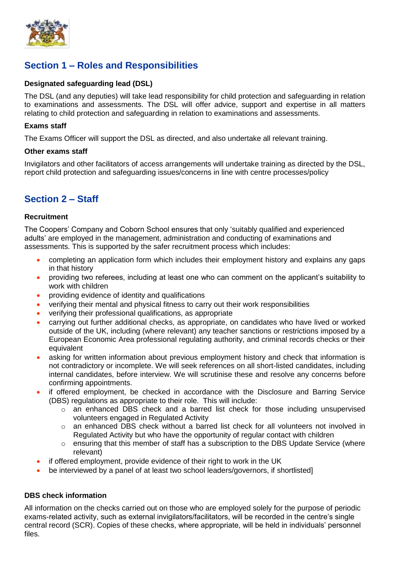

# **Section 1 – Roles and Responsibilities**

### **Designated safeguarding lead (DSL)**

The DSL (and any deputies) will take lead responsibility for child protection and safeguarding in relation to examinations and assessments. The DSL will offer advice, support and expertise in all matters relating to child protection and safeguarding in relation to examinations and assessments.

### **Exams staff**

The Exams Officer will support the DSL as directed, and also undertake all relevant training.

#### **Other exams staff**

Invigilators and other facilitators of access arrangements will undertake training as directed by the DSL, report child protection and safeguarding issues/concerns in line with centre processes/policy

# **Section 2 – Staff**

### **Recruitment**

The Coopers' Company and Coborn School ensures that only 'suitably qualified and experienced adults' are employed in the management, administration and conducting of examinations and assessments. This is supported by the safer recruitment process which includes:

- completing an application form which includes their employment history and explains any gaps in that history
- providing two referees, including at least one who can comment on the applicant's suitability to work with children
- providing evidence of identity and qualifications
- verifying their mental and physical fitness to carry out their work responsibilities
- verifying their professional qualifications, as appropriate
- carrying out further additional checks, as appropriate, on candidates who have lived or worked outside of the UK, including (where relevant) any teacher sanctions or restrictions imposed by a European Economic Area professional regulating authority, and criminal records checks or their equivalent
- asking for written information about previous employment history and check that information is not contradictory or incomplete. We will seek references on all short-listed candidates, including internal candidates, before interview. We will scrutinise these and resolve any concerns before confirming appointments.
- if offered employment, be checked in accordance with the Disclosure and Barring Service (DBS) regulations as appropriate to their role. This will include:
	- $\circ$  an enhanced DBS check and a barred list check for those including unsupervised volunteers engaged in Regulated Activity
	- o an enhanced DBS check without a barred list check for all volunteers not involved in Regulated Activity but who have the opportunity of regular contact with children
	- $\circ$  ensuring that this member of staff has a subscription to the DBS Update Service (where relevant)
- if offered employment, provide evidence of their right to work in the UK
- be interviewed by a panel of at least two school leaders/governors, if shortlisted]

### **DBS check information**

All information on the checks carried out on those who are employed solely for the purpose of periodic exams-related activity, such as external invigilators/facilitators, will be recorded in the centre's single central record (SCR). Copies of these checks, where appropriate, will be held in individuals' personnel files.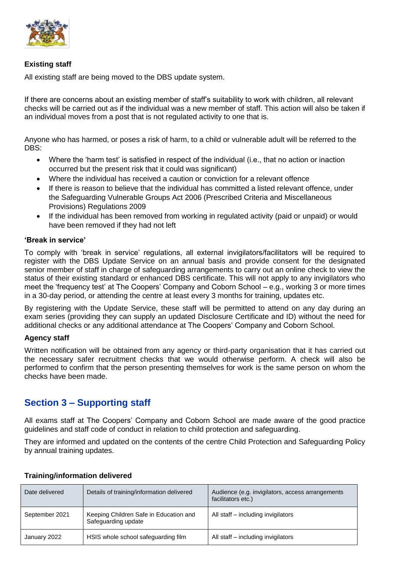

### **Existing staff**

All existing staff are being moved to the DBS update system.

If there are concerns about an existing member of staff's suitability to work with children, all relevant checks will be carried out as if the individual was a new member of staff. This action will also be taken if an individual moves from a post that is not regulated activity to one that is.

Anyone who has harmed, or poses a risk of harm, to a child or vulnerable adult will be referred to the DBS:

- Where the 'harm test' is satisfied in respect of the individual (i.e., that no action or inaction occurred but the present risk that it could was significant)
- Where the individual has received a caution or conviction for a relevant offence
- If there is reason to believe that the individual has committed a listed relevant offence, under the Safeguarding Vulnerable Groups Act 2006 (Prescribed Criteria and Miscellaneous Provisions) Regulations 2009
- If the individual has been removed from working in regulated activity (paid or unpaid) or would have been removed if they had not left

#### **'Break in service'**

To comply with 'break in service' regulations, all external invigilators/facilitators will be required to register with the DBS Update Service on an annual basis and provide consent for the designated senior member of staff in charge of safeguarding arrangements to carry out an online check to view the status of their existing standard or enhanced DBS certificate. This will not apply to any invigilators who meet the 'frequency test' at The Coopers' Company and Coborn School – e.g., working 3 or more times in a 30-day period, or attending the centre at least every 3 months for training, updates etc.

By registering with the Update Service, these staff will be permitted to attend on any day during an exam series (providing they can supply an updated Disclosure Certificate and ID) without the need for additional checks or any additional attendance at The Coopers' Company and Coborn School.

### **Agency staff**

Written notification will be obtained from any agency or third-party organisation that it has carried out the necessary safer recruitment checks that we would otherwise perform. A check will also be performed to confirm that the person presenting themselves for work is the same person on whom the checks have been made.

## **Section 3 – Supporting staff**

All exams staff at The Coopers' Company and Coborn School are made aware of the good practice guidelines and staff code of conduct in relation to child protection and safeguarding.

They are informed and updated on the contents of the centre Child Protection and Safeguarding Policy by annual training updates.

| Date delivered | Details of training/information delivered                     | Audience (e.g. invigilators, access arrangements<br>facilitators etc.) |
|----------------|---------------------------------------------------------------|------------------------------------------------------------------------|
| September 2021 | Keeping Children Safe in Education and<br>Safeguarding update | All staff – including invigilators                                     |
| January 2022   | HSIS whole school safeguarding film                           | All staff – including invigilators                                     |

### **Training/information delivered**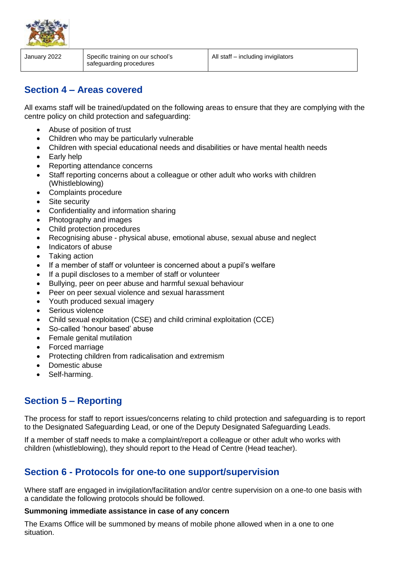

January 2022 Specific training on our school's safeguarding procedures All staff – including invigilators

# **Section 4 – Areas covered**

All exams staff will be trained/updated on the following areas to ensure that they are complying with the centre policy on child protection and safeguarding:

- Abuse of position of trust
- Children who may be particularly vulnerable
- Children with special educational needs and disabilities or have mental health needs
- Early help
- Reporting attendance concerns
- Staff reporting concerns about a colleague or other adult who works with children (Whistleblowing)
- Complaints procedure
- Site security
- Confidentiality and information sharing
- Photography and images
- Child protection procedures
- Recognising abuse physical abuse, emotional abuse, sexual abuse and neglect
- Indicators of abuse
- Taking action
- If a member of staff or volunteer is concerned about a pupil's welfare
- If a pupil discloses to a member of staff or volunteer
- Bullying, peer on peer abuse and harmful sexual behaviour
- Peer on peer sexual violence and sexual harassment
- Youth produced sexual imagery
- Serious violence
- Child sexual exploitation (CSE) and child criminal exploitation (CCE)
- So-called 'honour based' abuse
- Female genital mutilation
- Forced marriage
- Protecting children from radicalisation and extremism
- Domestic abuse
- Self-harming.

# **Section 5 – Reporting**

The process for staff to report issues/concerns relating to child protection and safeguarding is to report to the Designated Safeguarding Lead, or one of the Deputy Designated Safeguarding Leads.

If a member of staff needs to make a complaint/report a colleague or other adult who works with children (whistleblowing), they should report to the Head of Centre (Head teacher).

# **Section 6 - Protocols for one-to one support/supervision**

Where staff are engaged in invigilation/facilitation and/or centre supervision on a one-to one basis with a candidate the following protocols should be followed.

### **Summoning immediate assistance in case of any concern**

The Exams Office will be summoned by means of mobile phone allowed when in a one to one situation.